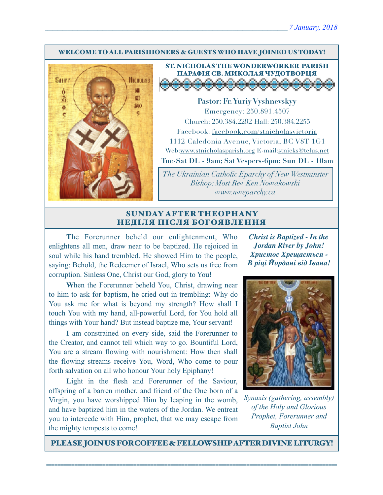#### WELCOME TO ALL PARISHIONERS & GUESTS WHO HAVE JOINED US TODAY!



#### ST. NICHOLAS THE WONDERWORKER PARISH ПАРАФІЯ СВ. МИКОЛАЯ ЧУДОТВОРЦЯ o ◡ v

**Pastor: Fr. Yuriy Vyshnevskyy** Emergency: 250.891.4507 Church: 250.384.2292 Hall: 250.384.2255 Facebook: facebook.com/stnicholasvictoria 1112 Caledonia Avenue, Victoria, BC V8T 1G1 Web[:www.stnicholasparish.org](http://www.stnicholasparish.org) E-mail:[stnicks@telus.net](mailto:stnicks@telus.net)

**Tue-Sat DL - 9am; Sat Vespers-6pm; Sun DL - 10am**

*The Ukrainian Catholic Eparchy of New Westminster Bishop: Most Rev. Ken Nowakowski [www.nweparchy.ca](http://www.nweparchy.ca)*

#### SUNDAY AFTER THEOPHANY НЕДІЛЯ ПІСЛЯ БОГОЯВЛЕННЯ

**T**he Forerunner beheld our enlightenment, Who enlightens all men, draw near to be baptized. He rejoiced in soul while his hand trembled. He showed Him to the people, saying: Behold, the Redeemer of Israel, Who sets us free from corruption. Sinless One, Christ our God, glory to You!

**W**hen the Forerunner beheld You, Christ, drawing near to him to ask for baptism, he cried out in trembling: Why do You ask me for what is beyond my strength? How shall I touch You with my hand, all-powerful Lord, for You hold all things with Your hand? But instead baptize me, Your servant!

**I** am constrained on every side, said the Forerunner to the Creator, and cannot tell which way to go. Bountiful Lord, You are a stream flowing with nourishment: How then shall the flowing streams receive You, Word, Who come to pour forth salvation on all who honour Your holy Epiphany!

Light in the flesh and Forerunner of the Saviour, offspring of a barren mother. and friend of the One born of a Virgin, you have worshipped Him by leaping in the womb, and have baptized him in the waters of the Jordan. We entreat you to intercede with Him, prophet, that we may escape from the mighty tempests to come!

*Christ is Baptized - In the Jordan River by John! Христос Хрещається - В ріці Йордані від Івана!*



*Synaxis (gathering, assembly) of the Holy and Glorious Prophet, Forerunner and Baptist John*

PLEASE JOIN US FOR COFFEE & FELLOWSHIP AFTER DIVINE LITURGY!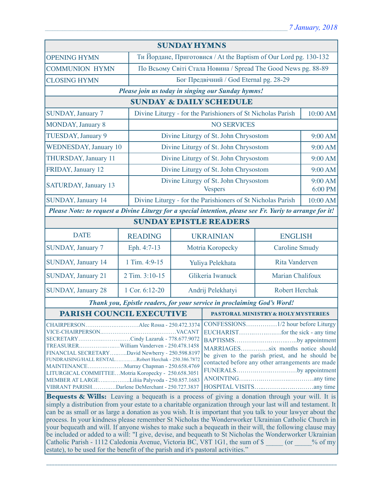| <b>SUNDAY HYMNS</b>                                                                                                                                                                                                                                                                                                                                      |                |                                                                  |                                                                                                                                                                                              |                       |                    |  |
|----------------------------------------------------------------------------------------------------------------------------------------------------------------------------------------------------------------------------------------------------------------------------------------------------------------------------------------------------------|----------------|------------------------------------------------------------------|----------------------------------------------------------------------------------------------------------------------------------------------------------------------------------------------|-----------------------|--------------------|--|
| <b>OPENING HYMN</b>                                                                                                                                                                                                                                                                                                                                      |                | Ти Йордане, Приготовися / At the Baptism of Our Lord pg. 130-132 |                                                                                                                                                                                              |                       |                    |  |
| <b>COMMUNION HYMN</b>                                                                                                                                                                                                                                                                                                                                    |                | По Всьому Світі Стала Новина / Spread The Good News pg. 88-89    |                                                                                                                                                                                              |                       |                    |  |
| <b>CLOSING HYMN</b>                                                                                                                                                                                                                                                                                                                                      |                | Бог Предвічний / God Eternal pg. 28-29                           |                                                                                                                                                                                              |                       |                    |  |
| Please join us today in singing our Sunday hymns!                                                                                                                                                                                                                                                                                                        |                |                                                                  |                                                                                                                                                                                              |                       |                    |  |
| <b>SUNDAY &amp; DAILY SCHEDULE</b>                                                                                                                                                                                                                                                                                                                       |                |                                                                  |                                                                                                                                                                                              |                       |                    |  |
| <b>SUNDAY</b> , January 7                                                                                                                                                                                                                                                                                                                                |                | Divine Liturgy - for the Parishioners of St Nicholas Parish      |                                                                                                                                                                                              |                       | 10:00 AM           |  |
| <b>MONDAY, January 8</b>                                                                                                                                                                                                                                                                                                                                 |                | <b>NO SERVICES</b>                                               |                                                                                                                                                                                              |                       |                    |  |
| TUESDAY, January 9                                                                                                                                                                                                                                                                                                                                       |                | Divine Liturgy of St. John Chrysostom                            |                                                                                                                                                                                              |                       | 9:00 AM            |  |
| <b>WEDNESDAY, January 10</b>                                                                                                                                                                                                                                                                                                                             |                | Divine Liturgy of St. John Chrysostom                            |                                                                                                                                                                                              |                       | 9:00 AM            |  |
| THURSDAY, January 11                                                                                                                                                                                                                                                                                                                                     |                | Divine Liturgy of St. John Chrysostom                            |                                                                                                                                                                                              |                       | 9:00 AM            |  |
| FRIDAY, January 12                                                                                                                                                                                                                                                                                                                                       |                | Divine Liturgy of St. John Chrysostom                            |                                                                                                                                                                                              |                       | 9:00 AM            |  |
| <b>SATURDAY, January 13</b>                                                                                                                                                                                                                                                                                                                              |                | Divine Liturgy of St. John Chrysostom<br><b>Vespers</b>          |                                                                                                                                                                                              |                       | 9:00 AM<br>6:00 PM |  |
| <b>SUNDAY, January 14</b>                                                                                                                                                                                                                                                                                                                                |                | Divine Liturgy - for the Parishioners of St Nicholas Parish      |                                                                                                                                                                                              |                       | 10:00 AM           |  |
| Please Note: to request a Divine Liturgy for a special intention, please see Fr. Yuriy to arrange for it!                                                                                                                                                                                                                                                |                |                                                                  |                                                                                                                                                                                              |                       |                    |  |
| <b>SUNDAY EPISTLE READERS</b>                                                                                                                                                                                                                                                                                                                            |                |                                                                  |                                                                                                                                                                                              |                       |                    |  |
| <b>DATE</b>                                                                                                                                                                                                                                                                                                                                              | <b>READING</b> | <b>UKRAINIAN</b>                                                 |                                                                                                                                                                                              | <b>ENGLISH</b>        |                    |  |
| SUNDAY, January 7                                                                                                                                                                                                                                                                                                                                        | Eph. 4:7-13    | Motria Koropecky                                                 |                                                                                                                                                                                              | <b>Caroline Smudy</b> |                    |  |
| SUNDAY, January 14                                                                                                                                                                                                                                                                                                                                       | 1 Tim. 4:9-15  | Yuliya Pelekhata                                                 |                                                                                                                                                                                              | <b>Rita Vanderven</b> |                    |  |
| <b>SUNDAY, January 21</b>                                                                                                                                                                                                                                                                                                                                | 2 Tim. 3:10-15 | Glikeria Iwanuck                                                 |                                                                                                                                                                                              | Marian Chalifoux      |                    |  |
| <b>SUNDAY, January 28</b>                                                                                                                                                                                                                                                                                                                                | 1 Cor. 6:12-20 |                                                                  | Andrij Pelekhatyi<br><b>Robert Herchak</b>                                                                                                                                                   |                       |                    |  |
| Thank you, Epistle readers, for your service in proclaiming God's Word!                                                                                                                                                                                                                                                                                  |                |                                                                  |                                                                                                                                                                                              |                       |                    |  |
| PARISH COUNCIL EXECUTIVE                                                                                                                                                                                                                                                                                                                                 |                |                                                                  | <b>PASTORAL MINISTRY &amp; HOLY MYSTERIES</b>                                                                                                                                                |                       |                    |  |
| SECRETARYCindy Lazaruk - 778.677.9072<br>FINANCIAL SECRETARYDavid Newberry - 250.598.8197<br>FUNDRAISING/HALL RENTALRobert Herchak - 250.386.7872<br>MAINTENANCEMurray Chapman - 250.658.4769<br>LITURGICAL COMMITTEEMotria Koropecky - 250.658.3051<br>MEMBER AT LARGELiliia Palyvoda - 250.857.1683<br>VIBRANT PARISHDarlene DeMerchant - 250.727.3837 |                |                                                                  | BAPTISMSby appointment<br>MARRIAGESsix months notice should<br>be given to the parish priest, and he should be<br>contacted before any other arrangements are made<br>FUNERALSby appointment |                       |                    |  |

**Bequests & Wills:** Leaving a bequeath is a process of giving a donation through your will. It is simply a distribution from your estate to a charitable organization through your last will and testament. It can be as small or as large a donation as you wish. It is important that you talk to your lawyer about the process. In your kindness please remember St Nicholas the Wonderworker Ukrainian Catholic Church in your bequeath and will. If anyone wishes to make such a bequeath in their will, the following clause may be included or added to a will: "I give, devise, and bequeath to St Nicholas the Wonderworker Ukrainian Catholic Parish - 1112 Caledonia Avenue, Victoria BC, V8T 1G1, the sum of \$ \_\_\_\_\_ (or \_\_\_\_% of my estate), to be used for the benefit of the parish and it's pastoral activities."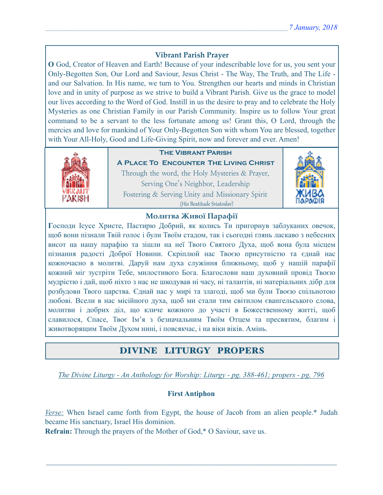## **Vibrant Parish Prayer**

**O** God, Creator of Heaven and Earth! Because of your indescribable love for us, you sent your Only-Begotten Son, Our Lord and Saviour, Jesus Christ - The Way, The Truth, and The Life and our Salvation. In His name, we turn to You. Strengthen our hearts and minds in Christian love and in unity of purpose as we strive to build a Vibrant Parish. Give us the grace to model our lives according to the Word of God. Instill in us the desire to pray and to celebrate the Holy Mysteries as one Christian Family in our Parish Community. Inspire us to follow Your great command to be a servant to the less fortunate among us! Grant this, O Lord, through the mercies and love for mankind of Your Only-Begotten Son with whom You are blessed, together with Your All-Holy, Good and Life-Giving Spirit, now and forever and ever. Amen!



## **The Vibrant Parish**

**A Place To Encounter The Living Christ** Through the word, the Holy Mysteries & Prayer, Serving One's Neighbor, Leadership Fostering & Serving Unity and Missionary Spirit (His Beatitude Sviatoslav)



#### **Молитва Живої Парафії**

**Г**осподи Ісусе Христе, Пастирю Добрий, як колись Ти пригорнув заблуканих овечок, щоб вони пізнали Твій голос і були Твоїм стадом, так і сьогодні глянь ласкаво з небесних висот на нашу парафію та зішли на неї Твого Святого Духа, щоб вона була місцем пізнання радості Доброї Новини. Скріплюй нас Твоєю присутністю та єднай нас кожночасно в молитві. Даруй нам духа служіння ближньому, щоб у нашій парафії кожний міг зустріти Тебе, милостивого Бога. Благослови наш духовний провід Твоєю мудрістю і дай, щоб ніхто з нас не шкодував ні часу, ні талантів, ні матеріальних дібр для розбудови Твого царства. Єднай нас у мирі та злагоді, щоб ми були Твоєю спільнотою любові. Всели в нас місійного духа, щоб ми стали тим світилом євангельського слова, молитви і добрих діл, що кличе кожного до участі в Божественному житті, щоб славилося, Спасе, Твоє Ім'я з безначальним Твоїм Отцем та пресвятим, благим і животворящим Твоїм Духом нині, і повсякчас, і на віки віків. Амінь.

## DIVINE LITURGY PROPERS

*The Divine Liturgy - An Anthology for Worship: Liturgy - pg. 388-461; propers - pg. 796* 

#### **First Antiphon**

*Verse:* When Israel came forth from Egypt, the house of Jacob from an alien people.\* Judah became His sanctuary, Israel His dominion.

=======================================================================================================

**Refrain:** Through the prayers of the Mother of God,\* O Saviour, save us.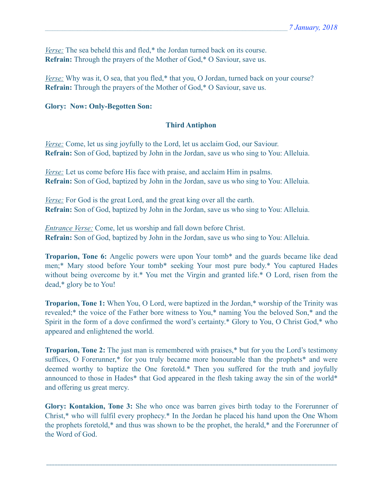*<u>Verse:</u>* The sea beheld this and fled,\* the Jordan turned back on its course. **Refrain:** Through the prayers of the Mother of God,\* O Saviour, save us.

*Verse:* Why was it, O sea, that you fled,\* that you, O Jordan, turned back on your course? **Refrain:** Through the prayers of the Mother of God,\* O Saviour, save us.

#### **Glory: Now: Only-Begotten Son:**

#### **Third Antiphon**

*Verse:* Come, let us sing joyfully to the Lord, let us acclaim God, our Saviour. **Refrain:** Son of God, baptized by John in the Jordan, save us who sing to You: Alleluia.

*Verse:* Let us come before His face with praise, and acclaim Him in psalms. **Refrain:** Son of God, baptized by John in the Jordan, save us who sing to You: Alleluia.

*Verse:* For God is the great Lord, and the great king over all the earth. **Refrain:** Son of God, baptized by John in the Jordan, save us who sing to You: Alleluia.

*Entrance Verse:* Come, let us worship and fall down before Christ. **Refrain:** Son of God, baptized by John in the Jordan, save us who sing to You: Alleluia.

**Troparion, Tone 6:** Angelic powers were upon Your tomb\* and the guards became like dead men;\* Mary stood before Your tomb\* seeking Your most pure body.\* You captured Hades without being overcome by it.\* You met the Virgin and granted life.\* O Lord, risen from the dead,\* glory be to You!

**Troparion, Tone 1:** When You, O Lord, were baptized in the Jordan,\* worship of the Trinity was revealed;\* the voice of the Father bore witness to You,\* naming You the beloved Son,\* and the Spirit in the form of a dove confirmed the word's certainty.\* Glory to You, O Christ God,\* who appeared and enlightened the world.

**Troparion, Tone 2:** The just man is remembered with praises,<sup>\*</sup> but for you the Lord's testimony suffices, O Forerunner,\* for you truly became more honourable than the prophets\* and were deemed worthy to baptize the One foretold.\* Then you suffered for the truth and joyfully announced to those in Hades\* that God appeared in the flesh taking away the sin of the world\* and offering us great mercy.

**Glory: Kontakion, Tone 3:** She who once was barren gives birth today to the Forerunner of Christ,\* who will fulfil every prophecy.\* In the Jordan he placed his hand upon the One Whom the prophets foretold,\* and thus was shown to be the prophet, the herald,\* and the Forerunner of the Word of God.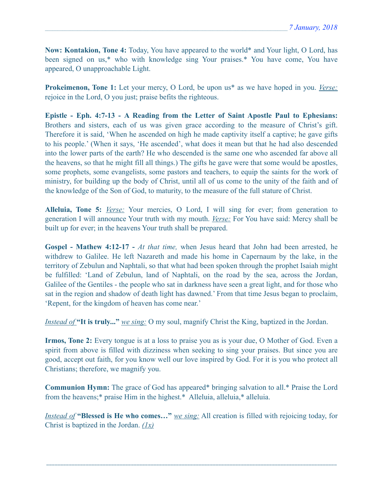**Now: Kontakion, Tone 4:** Today, You have appeared to the world\* and Your light, O Lord, has been signed on us,\* who with knowledge sing Your praises.\* You have come, You have appeared, O unapproachable Light.

**Prokeimenon, Tone 1:** Let your mercy, O Lord, be upon us\* as we have hoped in you. *Verse:* rejoice in the Lord, O you just; praise befits the righteous.

**Epistle - Eph. 4:7-13 - A Reading from the Letter of Saint Apostle Paul to Ephesians:** Brothers and sisters, each of us was given grace according to the measure of Christ's gift. Therefore it is said, 'When he ascended on high he made captivity itself a captive; he gave gifts to his people.' (When it says, 'He ascended', what does it mean but that he had also descended into the lower parts of the earth? He who descended is the same one who ascended far above all the heavens, so that he might fill all things.) The gifts he gave were that some would be apostles, some prophets, some evangelists, some pastors and teachers, to equip the saints for the work of ministry, for building up the body of Christ, until all of us come to the unity of the faith and of the knowledge of the Son of God, to maturity, to the measure of the full stature of Christ.

**Alleluia, Tone 5:** *Verse:* Your mercies, O Lord, I will sing for ever; from generation to generation I will announce Your truth with my mouth. *Verse:* For You have said: Mercy shall be built up for ever; in the heavens Your truth shall be prepared.

**Gospel - Mathew 4:12-17 -** *At that time,* when Jesus heard that John had been arrested, he withdrew to Galilee. He left Nazareth and made his home in Capernaum by the lake, in the territory of Zebulun and Naphtali, so that what had been spoken through the prophet Isaiah might be fulfilled: 'Land of Zebulun, land of Naphtali, on the road by the sea, across the Jordan, Galilee of the Gentiles - the people who sat in darkness have seen a great light, and for those who sat in the region and shadow of death light has dawned.' From that time Jesus began to proclaim, 'Repent, for the kingdom of heaven has come near.'

*Instead of* **"It is truly..."** *we sing:* O my soul, magnify Christ the King, baptized in the Jordan.

**Irmos, Tone 2:** Every tongue is at a loss to praise you as is your due, O Mother of God. Even a spirit from above is filled with dizziness when seeking to sing your praises. But since you are good, accept out faith, for you know well our love inspired by God. For it is you who protect all Christians; therefore, we magnify you.

**Communion Hymn:** The grace of God has appeared\* bringing salvation to all.\* Praise the Lord from the heavens;\* praise Him in the highest.\* Alleluia, alleluia,\* alleluia.

*Instead of* **"Blessed is He who comes…"** *we sing:* All creation is filled with rejoicing today, for Christ is baptized in the Jordan. *(1x)*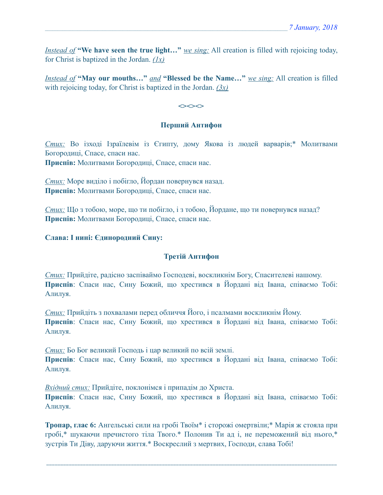*Instead of* **"We have seen the true light…"** *we sing:* All creation is filled with rejoicing today, for Christ is baptized in the Jordan. *(1x)*

*Instead of* **"May our mouths…"** *and* **"Blessed be the Name…"** *we sing:* All creation is filled with rejoicing today, for Christ is baptized in the Jordan. *(3x)*

 $\iff$ 

#### **Перший Антифон**

*Стих:* Во ізході Ізраїлевім із Єгипту, дому Якова із людей варварів;\* Молитвами Богородиці, Спасе, спаси нас.

**Приспів:** Молитвами Богородиці, Спасе, спаси нас.

*Стих:* Море виділо і побігло, Йордан повернувся назад. **Приспів:** Молитвами Богородиці, Спасе, спаси нас.

*Стих:* Що з тобою, море, що ти побігло, і з тобою, Йордане, що ти повернувся назад? **Приспів:** Молитвами Богородиці, Спасе, спаси нас.

#### **Слава: І нині: Єдинородний Сину:**

#### **Третій Антифон**

*Стих:* Прийдіте, радісно заспіваймо Господеві, воскликнім Богу, Спасителеві нашому. **Приспів**: Спаси нас, Сину Божий, що хрестився в Йордані від Івана, співаємо Тобі: Алилуя.

*Стих:* Прийдіть з похвалами перед обличчя Його, і псалмами воскликнім Йому. **Приспів**: Спаси нас, Сину Божий, що хрестився в Йордані від Івана, співаємо Тобі: Алилуя.

*Стих:* Бо Бог великий Господь і цар великий по всій землі. **Приспів**: Спаси нас, Сину Божий, що хрестився в Йордані від Івана, співаємо Тобі: Алилуя.

*Вхідний стих:* Прийдіте, поклонімся і припадім до Христа.

**Приспів**: Спаси нас, Сину Божий, що хрестився в Йордані від Івана, співаємо Тобі: Алилуя.

**Тропар, глас 6:** Ангельські сили на гробі Твоїм\* і сторожі омертвіли;\* Марія ж стояла при гробі,\* шукаючи пречистого тіла Твого.\* Полонив Ти ад і, не переможений від нього,\* зустрів Ти Діву, даруючи життя.\* Воскреслий з мертвих, Господи, слава Тобі!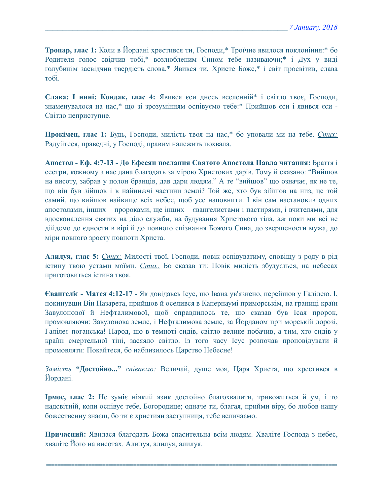**Тропар, глас 1:** Коли в Йордані хрестився ти, Господи,\* Троїчне явилося поклоніння:\* бо Родителя голос свідчив тобі,\* возлюбленим Сином тебе називаючи;\* і Дух у виді голубинім засвідчив твердість слова.\* Явився ти, Христе Боже,\* і світ просвітив, слава тобі.

**Слава: І нині: Кондак, глас 4:** Явився єси днесь вселенній\* і світло твоє, Господи, знаменувалося на нас,\* що зі зрозумінням оспівуємо тебе:\* Прийшов єси і явився єси - Світло неприступне.

**Прокімен, глас 1:** Будь, Господи, милість твоя на нас,\* бо уповали ми на тебе. *Стих:*  Радуйтеся, праведні, у Господі, правим належить похвала.

**Апостол - Еф. 4:7-13 - До Ефесян послання Святого Апостола Павла читання:** Браття і сестри, кожному з нас дана благодать за мірою Христових дарів. Тому й сказано: "Вийшов на висоту, забрав у полон бранців, дав дари людям." А те "вийшов" що означає, як не те, що він був зійшов і в найнижчі частини землі? Той же, хто був зійшов на низ, це той самий, що вийшов найвище всіх небес, щоб усе наповнити. І він сам настановив одних апостолами, інших – пророками, ще інших – євангелистами і пастирями, і вчителями, для вдосконалення святих на діло служби, на будування Христового тіла, аж поки ми всі не дійдемо до єдности в вірі й до повного спізнання Божого Сина, до звершености мужа, до міри повного зросту повноти Христа.

**Алилуя, глас 5:** *Стих:* Милості твої, Господи, повік оспівуватиму, сповіщу з роду в рід істину твою устами моїми. *Стих:* Бо сказав ти: Повік милість збудується, на небесах приготовиться істина твоя.

**Євангеліє - Матея 4:12-17 -** Як довідавсь Ісус, що Івана ув'язнено, перейшов у Галілею. І, покинувши Він Назарета, прийшов й оселився в Капернаумі приморськім, на границі країн Завулонової й Нефталимової, щоб справдилось те, що сказав був Ісая пророк, промовляючи: Завулонова земле, і Нефталимова земле, за Йорданом при морській дорозі, Галілеє поганська! Народ, що в темноті сидів, світло велике побачив, а тим, хто сидів у країні смертельної тіні, засяяло світло. Із того часу Ісус розпочав проповідувати й промовляти: Покайтеся, бо наблизилось Царство Небесне!

*Замість* **"Достойно..."** *співаємо:* Величай, душе моя, Царя Христа, що хрестився в Йордані.

**Ірмос, глас 2:** Не зуміє ніякий язик достойно благохвалити, тривожиться й ум, і то надсвітній, коли оспівує тебе, Богородице; одначе ти, благая, прийми віру, бо любов нашу божественну знаєш, бо ти є християн заступниця, тебе величаємо.

**Причасний:** Явилася благодать Божа спасительна всім людям. Хваліте Господа з небес, хваліте Його на висотах. Алилуя, алилуя, алилуя.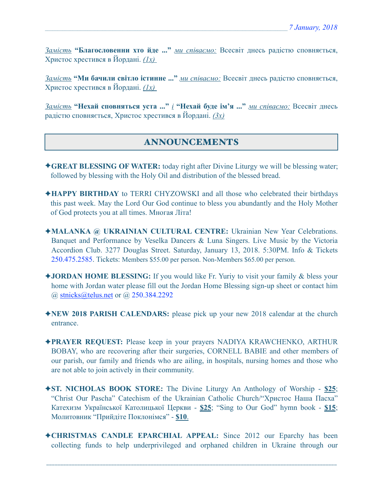*Замість* **"Благословенни хто йде ..."** *ми співаємо:* Всесвіт днесь радістю сповняється, Христос хрестився в Йордані. *(1х)* 

*Замість* **"Ми бачили світло істинне ..."** *ми співаємо:* Всесвіт днесь радістю сповняється, Христос хрестився в Йордані. *(1х)* 

*Замість* **"Нехай сповняться уста ..."** *і* **"Нехай буде ім'я ..."** *ми співаємо:* Всесвіт днесь радістю сповняється, Христос хрестився в Йордані. *(3х)*

# ANNOUNCEMENTS

- ✦**GREAT BLESSING OF WATER:** today right after Divine Liturgy we will be blessing water; followed by blessing with the Holy Oil and distribution of the blessed bread.
- ✦**HAPPY BIRTHDAY** to TERRI CHYZOWSKI and all those who celebrated their birthdays this past week. May the Lord Our God continue to bless you abundantly and the Holy Mother of God protects you at all times. Многая Літа!
- ✦**MALANKA @ UKRAINIAN CULTURAL CENTRE:** Ukrainian New Year Celebrations. Banquet and Performance by Veselka Dancers & Luna Singers. Live Music by the Victoria Accordion Club. 3277 Douglas Street. Saturday, January 13, 2018. 5:30PM. Info & Tickets 250.475.2585. Tickets: Members \$55.00 per person. Non-Members \$65.00 per person.
- ✦**JORDAN HOME BLESSING:** If you would like Fr. Yuriy to visit your family & bless your home with Jordan water please fill out the Jordan Home Blessing sign-up sheet or contact him @ [stnicks@telus.net](mailto:stnicks@telus.net) or @ 250.384.2292
- ✦**NEW 2018 PARISH CALENDARS:** please pick up your new 2018 calendar at the church entrance.
- ✦**PRAYER REQUEST:** Please keep in your prayers NADIYA KRAWCHENKO, ARTHUR BOBAY, who are recovering after their surgeries, CORNELL BABIE and other members of our parish, our family and friends who are ailing, in hospitals, nursing homes and those who are not able to join actively in their community.
- ✦**ST. NICHOLAS BOOK STORE:** The Divine Liturgy An Anthology of Worship **\$25**; "Christ Our Pascha" Catechism of the Ukrainian Catholic Church/"Христос Наша Пасха" Катехизм Української Католицької Церкви - **\$25**; "Sing to Our God" hymn book - **\$15**; Молитовник "Прийдіте Поклонімся" - **\$10**.
- ✦**CHRISTMAS CANDLE EPARCHIAL APPEAL:** Since 2012 our Eparchy has been collecting funds to help underprivileged and orphaned children in Ukraine through our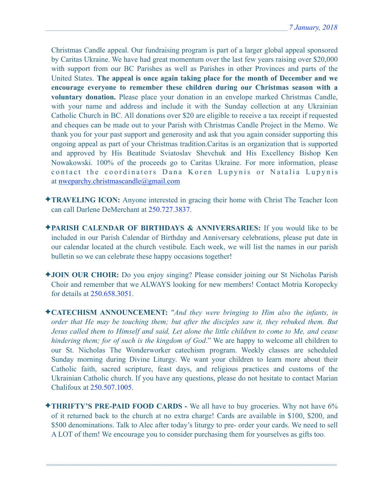Christmas Candle appeal. Our fundraising program is part of a larger global appeal sponsored by Caritas Ukraine. We have had great momentum over the last few years raising over \$20,000 with support from our BC Parishes as well as Parishes in other Provinces and parts of the United States. **The appeal is once again taking place for the month of December and we encourage everyone to remember these children during our Christmas season with a voluntary donation.** Please place your donation in an envelope marked Christmas Candle, with your name and address and include it with the Sunday collection at any Ukrainian Catholic Church in BC. All donations over \$20 are eligible to receive a tax receipt if requested and cheques can be made out to your Parish with Christmas Candle Project in the Memo. We thank you for your past support and generosity and ask that you again consider supporting this ongoing appeal as part of your Christmas tradition.Caritas is an organization that is supported and approved by His Beatitude Sviatoslav Shevchuk and His Excellency Bishop Ken Nowakowski. 100% of the proceeds go to Caritas Ukraine. For more information, please contact the coordinators Dana Koren Lupynis or Natalia Lupynis at [nweparchy.christmascandle@gmail.com](mailto:nweparchy.christmascandle@gmail.com)

- ✦**TRAVELING ICON:** Anyone interested in gracing their home with Christ The Teacher Icon can call Darlene DeMerchant at 250.727.3837.
- ✦**PARISH CALENDAR OF BIRTHDAYS & ANNIVERSARIES:** If you would like to be included in our Parish Calendar of Birthday and Anniversary celebrations, please put date in our calendar located at the church vestibule. Each week, we will list the names in our parish bulletin so we can celebrate these happy occasions together!
- ✦**JOIN OUR CHOIR:** Do you enjoy singing? Please consider joining our St Nicholas Parish Choir and remember that we ALWAYS looking for new members! Contact Motria Koropecky for details at 250.658.3051.
- ✦**CATECHISM ANNOUNCEMENT:** "*And they were bringing to Him also the infants, in order that He may be touching them; but after the disciples saw it, they rebuked them. But Jesus called them to Himself and said, Let alone the little children to come to Me, and cease hindering them; for of such is the kingdom of God*." We are happy to welcome all children to our St. Nicholas The Wonderworker catechism program. Weekly classes are scheduled Sunday morning during Divine Liturgy. We want your children to learn more about their Catholic faith, sacred scripture, feast days, and religious practices and customs of the Ukrainian Catholic church. If you have any questions, please do not hesitate to contact Marian Chalifoux at 250.507.1005.
- ✦**THRIFTY'S PRE-PAID FOOD CARDS** We all have to buy groceries. Why not have 6% of it returned back to the church at no extra charge! Cards are available in \$100, \$200, and \$500 denominations. Talk to Alec after today's liturgy to pre- order your cards. We need to sell A LOT of them! We encourage you to consider purchasing them for yourselves as gifts too.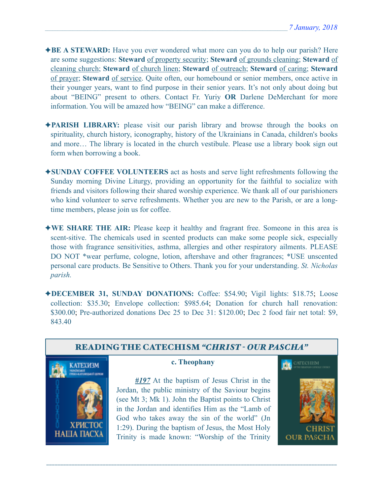- ✦**BE A STEWARD:** Have you ever wondered what more can you do to help our parish? Here are some suggestions: **Steward** of property security; **Steward** of grounds cleaning; **Steward** of cleaning church; **Steward** of church linen; **Steward** of outreach; **Steward** of caring; **Steward** of prayer; **Steward** of service. Quite often, our homebound or senior members, once active in their younger years, want to find purpose in their senior years. It's not only about doing but about "BEING" present to others. Contact Fr. Yuriy **OR** Darlene DeMerchant for more information. You will be amazed how "BEING" can make a difference.
- ✦**PARISH LIBRARY:** please visit our parish library and browse through the books on spirituality, church history, iconography, history of the Ukrainians in Canada, children's books and more… The library is located in the church vestibule. Please use a library book sign out form when borrowing a book.
- ✦**SUNDAY COFFEE VOLUNTEERS** act as hosts and serve light refreshments following the Sunday morning Divine Liturgy, providing an opportunity for the faithful to socialize with friends and visitors following their shared worship experience. We thank all of our parishioners who kind volunteer to serve refreshments. Whether you are new to the Parish, or are a longtime members, please join us for coffee.
- ✦**WE SHARE THE AIR:** Please keep it healthy and fragrant free. Someone in this area is scent-sitive. The chemicals used in scented products can make some people sick, especially those with fragrance sensitivities, asthma, allergies and other respiratory ailments. PLEASE DO NOT \*wear perfume, cologne, lotion, aftershave and other fragrances; \*USE unscented personal care products. Be Sensitive to Others. Thank you for your understanding. *St. Nicholas parish.*

✦**DECEMBER 31, SUNDAY DONATIONS:** Coffee: \$54.90; Vigil lights: \$18.75; Loose collection: \$35.30; Envelope collection: \$985.64; Donation for church hall renovation: \$300.00; Pre-authorized donations Dec 25 to Dec 31: \$120.00; Dec 2 food fair net total: \$9, 843.40



#### **c. Theophany**

*#197* At the baptism of Jesus Christ in the Jordan, the public ministry of the Saviour begins (see Mt 3; Mk 1). John the Baptist points to Christ in the Jordan and identifies Him as the "Lamb of God who takes away the sin of the world" (Jn 1:29). During the baptism of Jesus, the Most Holy Trinity is made known: "Worship of the Trinity

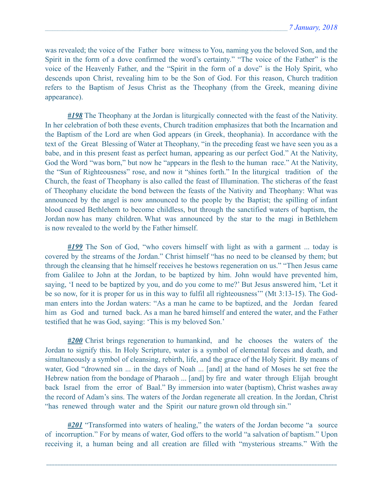was revealed; the voice of the Father bore witness to You, naming you the beloved Son, and the Spirit in the form of a dove confirmed the word's certainty." "The voice of the Father" is the voice of the Heavenly Father, and the "Spirit in the form of a dove" is the Holy Spirit, who descends upon Christ, revealing him to be the Son of God. For this reason, Church tradition refers to the Baptism of Jesus Christ as the Theophany (from the Greek, meaning divine appearance).

*#198* The Theophany at the Jordan is liturgically connected with the feast of the Nativity. In her celebration of both these events, Church tradition emphasizes that both the Incarnation and the Baptism of the Lord are when God appears (in Greek, theophania). In accordance with the text of the Great Blessing of Water at Theophany, "in the preceding feast we have seen you as a babe, and in this present feast as perfect human, appearing as our perfect God." At the Nativity, God the Word "was born," but now he "appears in the flesh to the human race." At the Nativity, the "Sun of Righteousness" rose, and now it "shines forth." In the liturgical tradition of the Church, the feast of Theophany is also called the feast of Illumination. The sticheras of the feast of Theophany elucidate the bond between the feasts of the Nativity and Theophany: What was announced by the angel is now announced to the people by the Baptist; the spilling of infant blood caused Bethlehem to become childless, but through the sanctified waters of baptism, the Jordan now has many children. What was announced by the star to the magi in Bethlehem is now revealed to the world by the Father himself.

*#199* The Son of God, "who covers himself with light as with a garment ... today is covered by the streams of the Jordan." Christ himself "has no need to be cleansed by them; but through the cleansing that he himself receives he bestows regeneration on us." "Then Jesus came from Galilee to John at the Jordan, to be baptized by him. John would have prevented him, saying, 'I need to be baptized by you, and do you come to me?' But Jesus answered him, 'Let it be so now, for it is proper for us in this way to fulfil all righteousness'" (Mt 3:13-15). The Godman enters into the Jordan waters: "As a man he came to be baptized, and the Jordan feared him as God and turned back. As a man he bared himself and entered the water, and the Father testified that he was God, saying: 'This is my beloved Son.'

*#200* Christ brings regeneration to humankind, and he chooses the waters of the Jordan to signify this. In Holy Scripture, water is a symbol of elemental forces and death, and simultaneously a symbol of cleansing, rebirth, life, and the grace of the Holy Spirit. By means of water, God "drowned sin ... in the days of Noah ... [and] at the hand of Moses he set free the Hebrew nation from the bondage of Pharaoh ... [and] by fire and water through Elijah brought back Israel from the error of Baal." By immersion into water (baptism), Christ washes away the record of Adam's sins. The waters of the Jordan regenerate all creation. In the Jordan, Christ "has renewed through water and the Spirit our nature grown old through sin."

*#201* "Transformed into waters of healing," the waters of the Jordan become "a source of incorruption." For by means of water, God offers to the world "a salvation of baptism." Upon receiving it, a human being and all creation are filled with "mysterious streams." With the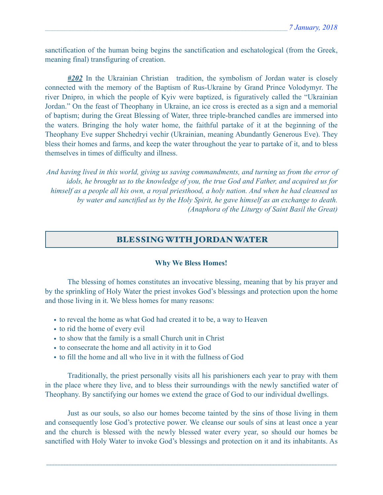sanctification of the human being begins the sanctification and eschatological (from the Greek, meaning final) transfiguring of creation.

*#202* In the Ukrainian Christian tradition, the symbolism of Jordan water is closely connected with the memory of the Baptism of Rus-Ukraine by Grand Prince Volodymyr. The river Dnipro, in which the people of Kyiv were baptized, is figuratively called the "Ukrainian Jordan." On the feast of Theophany in Ukraine, an ice cross is erected as a sign and a memorial of baptism; during the Great Blessing of Water, three triple-branched candles are immersed into the waters. Bringing the holy water home, the faithful partake of it at the beginning of the Theophany Eve supper Shchedryi vechir (Ukrainian, meaning Abundantly Generous Eve). They bless their homes and farms, and keep the water throughout the year to partake of it, and to bless themselves in times of difficulty and illness.

*And having lived in this world, giving us saving commandments, and turning us from the error of idols, he brought us to the knowledge of you, the true God and Father, and acquired us for himself as a people all his own, a royal priesthood, a holy nation. And when he had cleansed us by water and sanctified us by the Holy Spirit, he gave himself as an exchange to death. (Anaphora of the Liturgy of Saint Basil the Great)*

## BLESSING WITH JORDAN WATER

#### **Why We Bless Homes!**

 The blessing of homes constitutes an invocative blessing, meaning that by his prayer and by the sprinkling of Holy Water the priest invokes God's blessings and protection upon the home and those living in it. We bless homes for many reasons:

- to reveal the home as what God had created it to be, a way to Heaven
- to rid the home of every evil
- to show that the family is a small Church unit in Christ
- to consecrate the home and all activity in it to God
- to fill the home and all who live in it with the fullness of God

Traditionally, the priest personally visits all his parishioners each year to pray with them in the place where they live, and to bless their surroundings with the newly sanctified water of Theophany. By sanctifying our homes we extend the grace of God to our individual dwellings.

Just as our souls, so also our homes become tainted by the sins of those living in them and consequently lose God's protective power. We cleanse our souls of sins at least once a year and the church is blessed with the newly blessed water every year, so should our homes be sanctified with Holy Water to invoke God's blessings and protection on it and its inhabitants. As